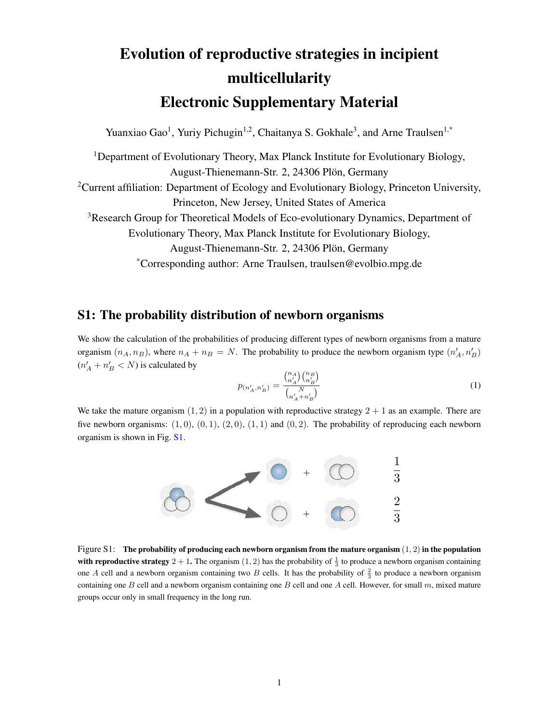# Evolution of reproductive strategies in incipient multicellularity Electronic Supplementary Material

Yuanxiao Gao<sup>1</sup>, Yuriy Pichugin<sup>1,2</sup>, Chaitanya S. Gokhale<sup>3</sup>, and Arne Traulsen<sup>1,\*</sup>

<sup>1</sup>Department of Evolutionary Theory, Max Planck Institute for Evolutionary Biology, August-Thienemann-Str. 2, 24306 Plön, Germany <sup>2</sup>Current affiliation: Department of Ecology and Evolutionary Biology, Princeton University, Princeton, New Jersey, United States of America <sup>3</sup>Research Group for Theoretical Models of Eco-evolutionary Dynamics, Department of Evolutionary Theory, Max Planck Institute for Evolutionary Biology, August-Thienemann-Str. 2, 24306 Plön, Germany \*Corresponding author: Arne Traulsen, traulsen@evolbio.mpg.de

#### S1: The probability distribution of newborn organisms

We show the calculation of the probabilities of producing different types of newborn organisms from a mature organism  $(n_A, n_B)$ , where  $n_A + n_B = N$ . The probability to produce the newborn organism type  $(n'_A, n'_B)$  $(n'_A + n'_B < N)$  is calculated by

<span id="page-0-1"></span>
$$
p_{(n'_A, n'_B)} = \frac{\binom{n_A}{n'_A} \binom{n_B}{n'_B}}{\binom{N}{n'_A + n'_B}}
$$
\n(1)

We take the mature organism  $(1, 2)$  in a population with reproductive strategy  $2 + 1$  as an example. There are five newborn organisms:  $(1,0)$ ,  $(0,1)$ ,  $(2,0)$ ,  $(1,1)$  and  $(0,2)$ . The probability of reproducing each newborn organism is shown in Fig. [S1.](#page-0-0)



<span id="page-0-0"></span>Figure S1: The probability of producing each newborn organism from the mature organism  $(1, 2)$  in the population with reproductive strategy  $2 + 1$ . The organism  $(1, 2)$  has the probability of  $\frac{1}{3}$  to produce a newborn organism containing one A cell and a newborn organism containing two B cells. It has the probability of  $\frac{2}{3}$  to produce a newborn organism containing one B cell and a newborn organism containing one B cell and one A cell. However, for small  $m$ , mixed mature groups occur only in small frequency in the long run.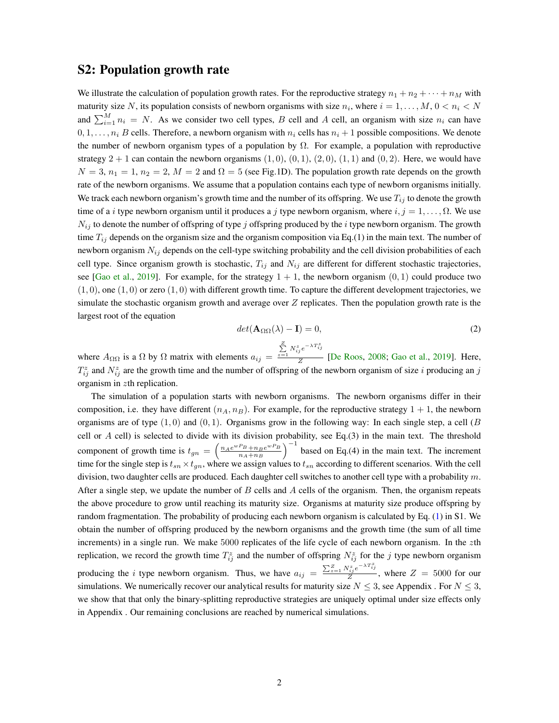#### S2: Population growth rate

We illustrate the calculation of population growth rates. For the reproductive strategy  $n_1 + n_2 + \cdots + n_M$  with maturity size N, its population consists of newborn organisms with size  $n_i$ , where  $i = 1, \ldots, M$ ,  $0 < n_i < N$ and  $\sum_{i=1}^{M} n_i = N$ . As we consider two cell types, B cell and A cell, an organism with size  $n_i$  can have  $0, 1, \ldots, n_i$  B cells. Therefore, a newborn organism with  $n_i$  cells has  $n_i + 1$  possible compositions. We denote the number of newborn organism types of a population by  $\Omega$ . For example, a population with reproductive strategy  $2 + 1$  can contain the newborn organisms  $(1, 0), (0, 1), (2, 0), (1, 1)$  and  $(0, 2)$ . Here, we would have  $N = 3$ ,  $n_1 = 1$ ,  $n_2 = 2$ ,  $M = 2$  and  $\Omega = 5$  (see Fig.1D). The population growth rate depends on the growth rate of the newborn organisms. We assume that a population contains each type of newborn organisms initially. We track each newborn organism's growth time and the number of its offspring. We use  $T_{ij}$  to denote the growth time of a *i* type newborn organism until it produces a *j* type newborn organism, where  $i, j = 1, \ldots, \Omega$ . We use  $N_{ij}$  to denote the number of offspring of type j offspring produced by the i type newborn organism. The growth time  $T_{ij}$  depends on the organism size and the organism composition via Eq.(1) in the main text. The number of newborn organism  $N_{ij}$  depends on the cell-type switching probability and the cell division probabilities of each cell type. Since organism growth is stochastic,  $T_{ij}$  and  $N_{ij}$  are different for different stochastic trajectories, see [\[Gao et al.,](#page-6-0) [2019\]](#page-6-0). For example, for the strategy  $1 + 1$ , the newborn organism  $(0, 1)$  could produce two  $(1, 0)$ , one  $(1, 0)$  or zero  $(1, 0)$  with different growth time. To capture the different development trajectories, we simulate the stochastic organism growth and average over  $Z$  replicates. Then the population growth rate is the largest root of the equation

<span id="page-1-0"></span>
$$
det(\mathbf{A}_{\Omega\Omega}(\lambda) - \mathbf{I}) = 0,
$$
\n(2)

where  $A_{\Omega\Omega}$  is a  $\Omega$  by  $\Omega$  matrix with elements  $a_{ij} =$  $\sum_{z=1}^{Z} N_{ij}^{z} e^{-\lambda T_{ij}^{z}}$  $\frac{1}{Z}$  [\[De Roos,](#page-6-1) [2008;](#page-6-1) [Gao et al.,](#page-6-0) [2019\]](#page-6-0). Here,  $T_{ij}^z$  and  $N_{ij}^z$  are the growth time and the number of offspring of the newborn organism of size i producing an j organism in zth replication.

The simulation of a population starts with newborn organisms. The newborn organisms differ in their composition, i.e. they have different  $(n_A, n_B)$ . For example, for the reproductive strategy  $1 + 1$ , the newborn organisms are of type  $(1, 0)$  and  $(0, 1)$ . Organisms grow in the following way: In each single step, a cell  $(B)$ cell or  $A$  cell) is selected to divide with its division probability, see Eq.(3) in the main text. The threshold component of growth time is  $t_{gn} = \left(\frac{n_A e^{wP_B} + n_B e^{wP_B}}{n_A + n_B}\right)$  $\frac{P_B + n_B e^{wP_B}}{n_A + n_B}$  based on Eq.(4) in the main text. The increment time for the single step is  $t_{sn} \times t_{gn}$ , where we assign values to  $t_{sn}$  according to different scenarios. With the cell division, two daughter cells are produced. Each daughter cell switches to another cell type with a probability  $m$ . After a single step, we update the number of  $B$  cells and  $A$  cells of the organism. Then, the organism repeats the above procedure to grow until reaching its maturity size. Organisms at maturity size produce offspring by random fragmentation. The probability of producing each newborn organism is calculated by Eq. [\(1\)](#page-0-1) in S1. We obtain the number of offspring produced by the newborn organisms and the growth time (the sum of all time increments) in a single run. We make 5000 replicates of the life cycle of each newborn organism. In the zth replication, we record the growth time  $T_{ij}^z$  and the number of offspring  $N_{ij}^z$  for the j type newborn organism producing the *i* type newborn organism. Thus, we have  $a_{ij} = \frac{\sum_{z=1}^{Z} N_{ij}^{z} e^{-\lambda T_{ij}^{z}}}{Z}$  $\frac{Z_{ij}e^{-Z}}{Z}$ , where  $Z = 5000$  for our simulations. We numerically recover our analytical results for maturity size  $N \leq 3$ , see Appendix . For  $N \leq 3$ , we show that that only the binary-splitting reproductive strategies are uniquely optimal under size effects only in Appendix . Our remaining conclusions are reached by numerical simulations.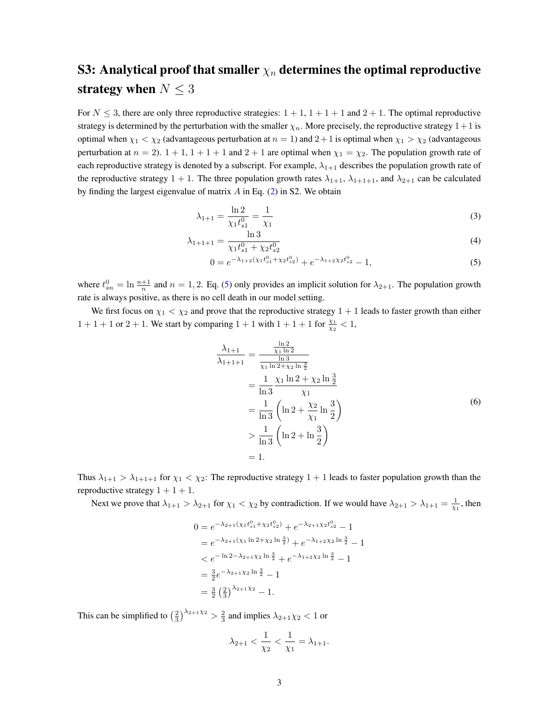## S3: Analytical proof that smaller  $\chi_n$  determines the optimal reproductive strategy when  $N \leq 3$

For  $N \leq 3$ , there are only three reproductive strategies:  $1 + 1$ ,  $1 + 1 + 1$  and  $2 + 1$ . The optimal reproductive strategy is determined by the perturbation with the smaller  $\chi_n$ . More precisely, the reproductive strategy  $1+1$  is optimal when  $\chi_1 < \chi_2$  (advantageous perturbation at  $n = 1$ ) and  $2+1$  is optimal when  $\chi_1 > \chi_2$  (advantageous perturbation at  $n = 2$ ).  $1 + 1$ ,  $1 + 1 + 1$  and  $2 + 1$  are optimal when  $\chi_1 = \chi_2$ . The population growth rate of each reproductive strategy is denoted by a subscript. For example,  $\lambda_{1+1}$  describes the population growth rate of the reproductive strategy 1 + 1. The three population growth rates  $\lambda_{1+1}$ ,  $\lambda_{1+1+1}$ , and  $\lambda_{2+1}$  can be calculated by finding the largest eigenvalue of matrix  $A$  in Eq. [\(2\)](#page-1-0) in S2. We obtain

$$
\lambda_{1+1} = \frac{\ln 2}{\chi_1 t_{s1}^0} = \frac{1}{\chi_1} \tag{3}
$$

$$
\lambda_{1+1+1} = \frac{\ln 3}{\chi_1 t_{s_1}^0 + \chi_2 t_{s_2}^0}
$$
\n(4)

<span id="page-2-0"></span>
$$
0 = e^{-\lambda_{1+2}(\chi_1 t_{s1}^0 + \chi_2 t_{s2}^0)} + e^{-\lambda_{1+2} \chi_2 t_{s2}^0} - 1,
$$
\n<sup>(5)</sup>

where  $t_{sn}^0 = \ln \frac{n+1}{n}$  and  $n = 1, 2$ . Eq. [\(5\)](#page-2-0) only provides an implicit solution for  $\lambda_{2+1}$ . The population growth rate is always positive, as there is no cell death in our model setting.

We first focus on  $\chi_1 < \chi_2$  and prove that the reproductive strategy  $1 + 1$  leads to faster growth than either  $1 + 1 + 1$  or  $2 + 1$ . We start by comparing  $1 + 1$  with  $1 + 1 + 1$  for  $\frac{\chi_1}{\chi_2} < 1$ ,

<span id="page-2-1"></span>
$$
\frac{\lambda_{1+1}}{\lambda_{1+1+1}} = \frac{\frac{\ln 2}{\chi_1 \ln 2}}{\frac{\chi_1 \ln 3}{\chi_1 \ln 2 + \chi_2 \ln \frac{3}{2}}} \n= \frac{1}{\ln 3} \frac{\chi_1 \ln 2 + \chi_2 \ln \frac{3}{2}}{\chi_1} \n= \frac{1}{\ln 3} \left( \ln 2 + \frac{\chi_2}{\chi_1} \ln \frac{3}{2} \right) \n> \frac{1}{\ln 3} \left( \ln 2 + \ln \frac{3}{2} \right) \n= 1.
$$
\n(6)

Thus  $\lambda_{1+1} > \lambda_{1+1+1}$  for  $\chi_1 < \chi_2$ : The reproductive strategy  $1+1$  leads to faster population growth than the reproductive strategy  $1 + 1 + 1$ .

Next we prove that  $\lambda_{1+1} > \lambda_{2+1}$  for  $\chi_1 < \chi_2$  by contradiction. If we would have  $\lambda_{2+1} > \lambda_{1+1} = \frac{1}{\chi_1}$ , then

$$
0 = e^{-\lambda_{2+1}(\chi_1 t_{s_1}^0 + \chi_2 t_{s_2}^0)} + e^{-\lambda_{2+1} \chi_2 t_{s_2}^0} - 1
$$
  
\n
$$
= e^{-\lambda_{2+1}(\chi_1 \ln 2 + \chi_2 \ln \frac{3}{2})} + e^{-\lambda_{1+2} \chi_2 \ln \frac{3}{2}} - 1
$$
  
\n
$$
< e^{-\ln 2 - \lambda_{2+1} \chi_2 \ln \frac{3}{2}} + e^{-\lambda_{1+2} \chi_2 \ln \frac{3}{2}} - 1
$$
  
\n
$$
= \frac{3}{2} e^{-\lambda_{2+1} \chi_2 \ln \frac{3}{2}} - 1
$$
  
\n
$$
= \frac{3}{2} \left(\frac{2}{3}\right)^{\lambda_{2+1} \chi_2} - 1.
$$

This can be simplified to  $\left(\frac{2}{3}\right)^{\lambda_{2+1}\chi_2} > \frac{2}{3}$  and implies  $\lambda_{2+1}\chi_2 < 1$  or

$$
\lambda_{2+1} < \frac{1}{\chi_2} < \frac{1}{\chi_1} = \lambda_{1+1}.
$$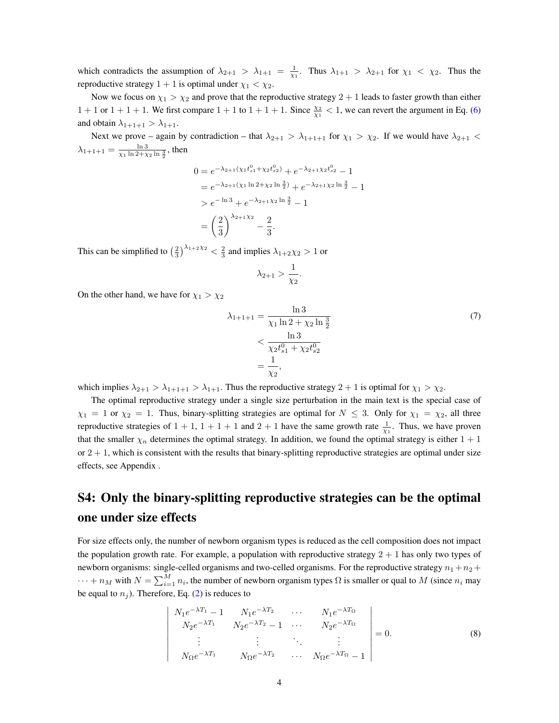which contradicts the assumption of  $\lambda_{2+1} > \lambda_{1+1} = \frac{1}{\chi_1}$ . Thus  $\lambda_{1+1} > \lambda_{2+1}$  for  $\chi_1 < \chi_2$ . Thus the reproductive strategy  $1 + 1$  is optimal under  $\chi_1 < \chi_2$ .

Now we focus on  $\chi_1 > \chi_2$  and prove that the reproductive strategy  $2 + 1$  leads to faster growth than either  $1 + 1$  or  $1 + 1 + 1$ . We first compare  $1 + 1$  to  $1 + 1 + 1$ . Since  $\frac{\chi_2}{\chi_1} < 1$ , we can revert the argument in Eq. [\(6\)](#page-2-1) and obtain  $\lambda_{1+1+1} > \lambda_{1+1}$ .

Next we prove – again by contradiction – that  $\lambda_{2+1} > \lambda_{1+1+1}$  for  $\chi_1 > \chi_2$ . If we would have  $\lambda_{2+1}$  <  $\lambda_{1+1+1} = \frac{\ln 3}{\chi_1 \ln 2 + \chi_2 \ln \frac{3}{2}}$ , then

$$
0 = e^{-\lambda_{2+1}(\chi_1 t_{s1}^0 + \chi_2 t_{s2}^0)} + e^{-\lambda_{2+1} \chi_2 t_{s2}^0} - 1
$$
  
=  $e^{-\lambda_{2+1}(\chi_1 \ln 2 + \chi_2 \ln \frac{3}{2})} + e^{-\lambda_{2+1} \chi_2 \ln \frac{3}{2}} - 1$   
>  $e^{-\ln 3} + e^{-\lambda_{2+1} \chi_2 \ln \frac{3}{2}} - 1$   
=  $\left(\frac{2}{3}\right)^{\lambda_{2+1} \chi_2} - \frac{2}{3}.$ 

This can be simplified to  $\left(\frac{2}{3}\right)^{\lambda_{1+2}\chi_2} < \frac{2}{3}$  and implies  $\lambda_{1+2}\chi_2 > 1$  or

$$
\lambda_{2+1} > \frac{1}{\chi_2}.
$$

On the other hand, we have for  $\chi_1 > \chi_2$ 

 $\overline{\phantom{a}}$ I  $\overline{\phantom{a}}$  $\overline{\phantom{a}}$  $\overline{\phantom{a}}$  $\overline{\phantom{a}}$  $\overline{\phantom{a}}$  $\overline{\phantom{a}}$  $\overline{\phantom{a}}$  $\overline{\phantom{a}}$ 

$$
\lambda_{1+1+1} = \frac{\ln 3}{\chi_1 \ln 2 + \chi_2 \ln \frac{3}{2}}
$$
\n
$$
< \frac{\ln 3}{\chi_2 t_{s1}^0 + \chi_2 t_{s2}^0}
$$
\n
$$
= \frac{1}{\chi_2},
$$
\n(7)

which implies  $\lambda_{2+1} > \lambda_{1+1+1} > \lambda_{1+1}$ . Thus the reproductive strategy  $2+1$  is optimal for  $\chi_1 > \chi_2$ .

The optimal reproductive strategy under a single size perturbation in the main text is the special case of  $\chi_1 = 1$  or  $\chi_2 = 1$ . Thus, binary-splitting strategies are optimal for  $N \leq 3$ . Only for  $\chi_1 = \chi_2$ , all three reproductive strategies of  $1 + 1$ ,  $1 + 1 + 1$  and  $2 + 1$  have the same growth rate  $\frac{1}{\chi_1}$ . Thus, we have proven that the smaller  $\chi_n$  determines the optimal strategy. In addition, we found the optimal strategy is either  $1 + 1$ or  $2 + 1$ , which is consistent with the results that binary-splitting reproductive strategies are optimal under size effects, see Appendix .

## S4: Only the binary-splitting reproductive strategies can be the optimal one under size effects

For size effects only, the number of newborn organism types is reduced as the cell composition does not impact the population growth rate. For example, a population with reproductive strategy  $2 + 1$  has only two types of newborn organisms: single-celled organisms and two-celled organisms. For the reproductive strategy  $n_1 + n_2 +$  $\cdots + n_M$  with  $N = \sum_{i=1}^M n_i$ , the number of newborn organism types  $\Omega$  is smaller or qual to M (since  $n_i$  may be equal to  $n_i$ ). Therefore, Eq. [\(2\)](#page-1-0) is reduces to

<span id="page-3-0"></span>
$$
\begin{vmatrix}\nN_1 e^{-\lambda T_1} - 1 & N_1 e^{-\lambda T_2} & \cdots & N_1 e^{-\lambda T_{\Omega}} \\
N_2 e^{-\lambda T_1} & N_2 e^{-\lambda T_2} - 1 & \cdots & N_2 e^{-\lambda T_{\Omega}} \\
\vdots & \vdots & \ddots & \vdots \\
N_{\Omega} e^{-\lambda T_1} & N_{\Omega} e^{-\lambda T_2} & \cdots & N_{\Omega} e^{-\lambda T_{\Omega}} - 1\n\end{vmatrix} = 0.
$$
\n(8)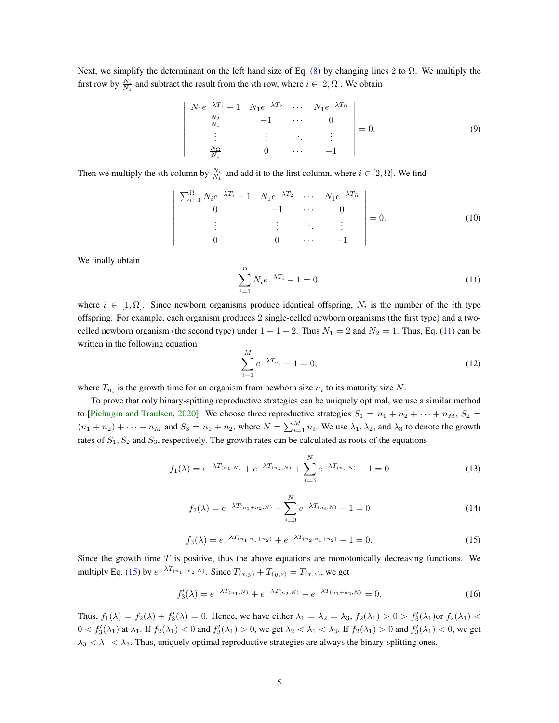Next, we simplify the determinant on the left hand size of Eq. [\(8\)](#page-3-0) by changing lines 2 to  $\Omega$ . We multiply the first row by  $\frac{N_i}{N_1}$  and subtract the result from the *i*th row, where  $i \in [2, \Omega]$ . We obtain

$$
\begin{vmatrix}\nN_1 e^{-\lambda T_1} - 1 & N_1 e^{-\lambda T_2} & \cdots & N_1 e^{-\lambda T_{\Omega}} \\
\frac{N_2}{N_1} & -1 & \cdots & 0 \\
\vdots & \vdots & \ddots & \vdots \\
\frac{N_{\Omega}}{N_1} & 0 & \cdots & -1\n\end{vmatrix} = 0.
$$
\n(9)

Then we multiply the *i*th column by  $\frac{N_i}{N_1}$  and add it to the first column, where  $i \in [2, \Omega]$ . We find

$$
\begin{vmatrix}\n\sum_{i=1}^{\Omega} N_i e^{-\lambda T_i} - 1 & N_1 e^{-\lambda T_2} & \cdots & N_1 e^{-\lambda T_{\Omega}} \\
0 & -1 & \cdots & 0 \\
\vdots & \vdots & \ddots & \vdots \\
0 & 0 & \cdots & -1\n\end{vmatrix} = 0.
$$
\n(10)

<span id="page-4-0"></span>We finally obtain

$$
\sum_{i=1}^{\Omega} N_i e^{-\lambda T_i} - 1 = 0,
$$
\n(11)

where  $i \in [1, \Omega]$ . Since newborn organisms produce identical offspring,  $N_i$  is the number of the *i*th type offspring. For example, each organism produces 2 single-celled newborn organisms (the first type) and a twocelled newborn organism (the second type) under  $1 + 1 + 2$ . Thus  $N_1 = 2$  and  $N_2 = 1$ . Thus, Eq. [\(11\)](#page-4-0) can be written in the following equation

$$
\sum_{i=1}^{M} e^{-\lambda T_{n_i}} - 1 = 0,
$$
\n(12)

where  $T_{n_i}$  is the growth time for an organism from newborn size  $n_i$  to its maturity size N.

To prove that only binary-spitting reproductive strategies can be uniquely optimal, we use a similar method to [\[Pichugin and Traulsen,](#page-6-2) [2020\]](#page-6-2). We choose three reproductive strategies  $S_1 = n_1 + n_2 + \cdots + n_M$ ,  $S_2 =$  $(n_1+n_2)+\cdots+n_M$  and  $S_3=n_1+n_2$ , where  $N=\sum_{i=1}^M n_i$ . We use  $\lambda_1, \lambda_2$ , and  $\lambda_3$  to denote the growth rates of  $S_1, S_2$  and  $S_3$ , respectively. The growth rates can be calculated as roots of the equations

$$
f_1(\lambda) = e^{-\lambda T_{(n_1,N)}} + e^{-\lambda T_{(n_2,N)}} + \sum_{i=3}^{N} e^{-\lambda T_{(n_i,N)}} - 1 = 0
$$
 (13)

$$
f_2(\lambda) = e^{-\lambda T_{(n_1+n_2,N)}} + \sum_{i=3}^{N} e^{-\lambda T_{(n_i,N)}} - 1 = 0
$$
 (14)

$$
f_3(\lambda) = e^{-\lambda T_{(n_1, n_1 + n_2)}} + e^{-\lambda T_{(n_2, n_1 + n_2)}} - 1 = 0.
$$
 (15)

<span id="page-4-1"></span>Since the growth time  $T$  is positive, thus the above equations are monotonically decreasing functions. We multiply Eq. [\(15\)](#page-4-1) by  $e^{-\lambda T_{(n_1+n_2,N)}}$ . Since  $T_{(x,y)} + T_{(y,z)} = T_{(x,z)}$ , we get

$$
f_3'(\lambda) = e^{-\lambda T_{(n_1,N)}} + e^{-\lambda T_{(n_2,N)}} - e^{-\lambda T_{(n_1+n_2,N)}} = 0.
$$
 (16)

Thus,  $f_1(\lambda) = f_2(\lambda) + f'_3(\lambda) = 0$ . Hence, we have either  $\lambda_1 = \lambda_2 = \lambda_3$ ,  $f_2(\lambda_1) > 0 > f'_3(\lambda_1)$  or  $f_2(\lambda_1) <$  $0 < f'_3(\lambda_1)$  at  $\lambda_1$ . If  $f_2(\lambda_1) < 0$  and  $f'_3(\lambda_1) > 0$ , we get  $\lambda_2 < \lambda_1 < \lambda_3$ . If  $f_2(\lambda_1) > 0$  and  $f'_3(\lambda_1) < 0$ , we get  $\lambda_3 < \lambda_1 < \lambda_2$ . Thus, uniquely optimal reproductive strategies are always the binary-splitting ones.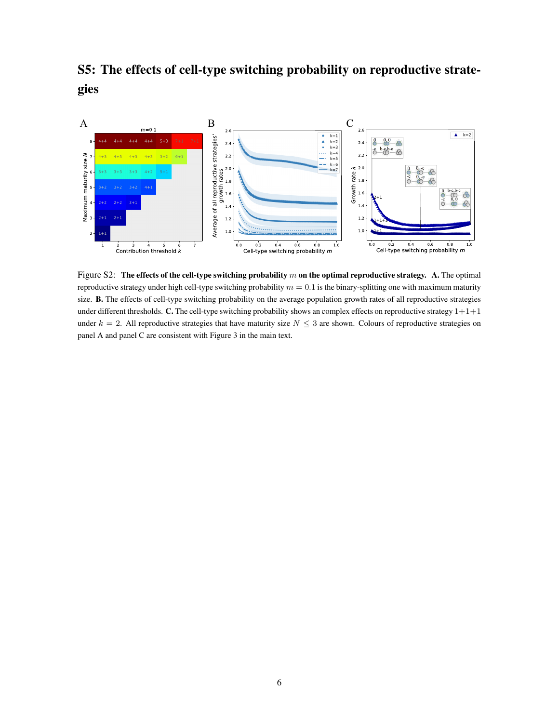S5: The effects of cell-type switching probability on reproductive strategies



Figure S2: The effects of the cell-type switching probability  $m$  on the optimal reproductive strategy. A. The optimal reproductive strategy under high cell-type switching probability  $m = 0.1$  is the binary-splitting one with maximum maturity size. **B.** The effects of cell-type switching probability on the average population growth rates of all reproductive strategies under different thresholds. C. The cell-type switching probability shows an complex effects on reproductive strategy  $1+1+1$ under  $k = 2$ . All reproductive strategies that have maturity size  $N \leq 3$  are shown. Colours of reproductive strategies on panel A and panel C are consistent with Figure 3 in the main text.